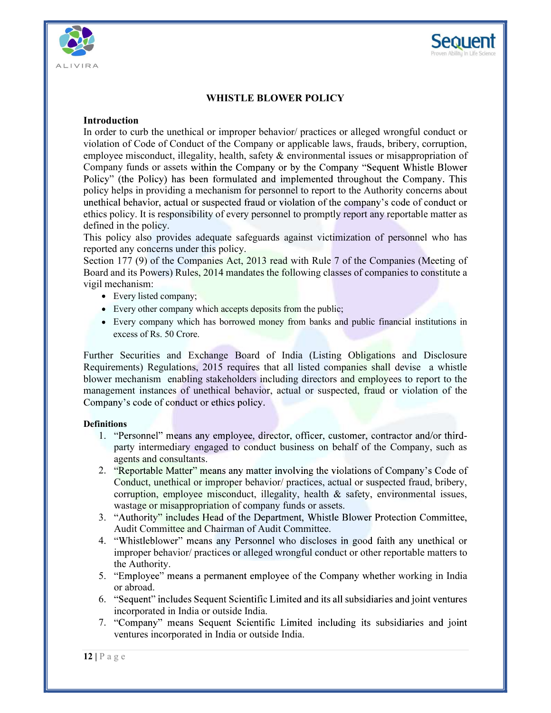



# WHISTLE BLOWER POLICY

### Introduction

In order to curb the unethical or improper behavior/ practices or alleged wrongful conduct or violation of Code of Conduct of the Company or applicable laws, frauds, bribery, corruption, **Example 19**<br> **Example 18**<br> **Example 18**<br> **Example 18**<br> **Example 18**<br> **Example 18**<br> **Example 18**<br> **Example 18**<br> **Example 18**<br> **Example 18**<br> **Example 18**<br> **Example 18**<br> **Example 18**<br> **Example 18**<br> **Example 18**<br> **Example 18** Company funds or assets within the Company or by the Company "Sequent Whistle Blower policy helps in providing a mechanism for personnel to report to the Authority concerns about ethics policy. It is responsibility of every personnel to promptly report any reportable matter as defined in the policy.

This policy also provides adequate safeguards against victimization of personnel who has reported any concerns under this policy.

Section 177 (9) of the Companies Act, 2013 read with Rule 7 of the Companies (Meeting of Board and its Powers) Rules, 2014 mandates the following classes of companies to constitute a vigil mechanism:

- Every listed company;
- Every other company which accepts deposits from the public;
- Every company which has borrowed money from banks and public financial institutions in excess of Rs. 50 Crore.

Further Securities and Exchange Board of India (Listing Obligations and Disclosure Requirements) Regulations, 2015 requires that all listed companies shall devise a whistle blower mechanism enabling stakeholders including directors and employees to report to the management instances of unethical behavior, actual or suspected, fraud or violation of the Company's code of conduct or ethics policy.

#### **Definitions**

- 1. "Personnel" means any employee, director, officer, customer, contractor and/or thirdparty intermediary engaged to conduct business on behalf of the Company, such as agents and consultants.
- **Definitions**<br>
1. "Personnel" means any employee, director, officer, customer, contractor<br>
party intermediary engaged to conduct business on behalf of the Comp<br>
agents and consultants.<br>
2. "Reportable Matter" means any ma 2. "Reportable Matter" means any matter involving the violations of Company's Code of Conduct, unethical or improper behavior/ practices, actual or suspected fraud, bribery, corruption, employee misconduct, illegality, health  $\&$  safety, environmental issues, wastage or misappropriation of company funds or assets.
	- 3. "Authority" includes Head of the Department, Whistle Blower Protection Committee, Audit Committee and Chairman of Audit Committee.
	- 4. "Whistleblower" means any Personnel who discloses in good faith any unethical or improper behavior/ practices or alleged wrongful conduct or other reportable matters to the Authority.
	- 5. "Employee" means a permanent employee of the Company whether working in India or abroad.
	- 6. "Sequent" includes Sequent Scientific Limited and its all subsidiaries and joint ventures incorporated in India or outside India.
	- 7. "Company" means Sequent Scientific Limited including its subsidiaries and joint ventures incorporated in India or outside India.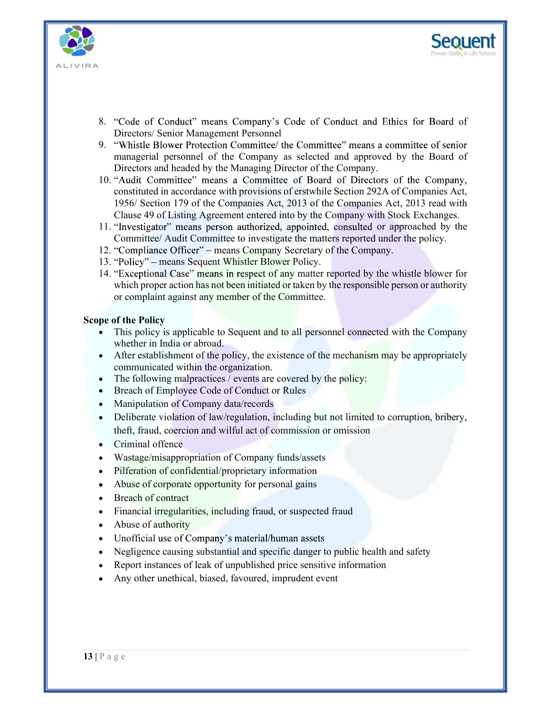



- 8. "Code of Conduct" means Company's Code of Conduct and Ethics for Board of Directors/ Senior Management Personnel
- 9. "Whistle Blower Protection Committee/ the Committee" means a committee of senior managerial personnel of the Company as selected and approved by the Board of Directors and headed by the Managing Director of the Company.
- 10. "Audit Committee" means a Committee of Board of Directors of the Company, constituted in accordance with provisions of erstwhile Section 292A of Companies Act, 1956/ Section 179 of the Companies Act, 2013 of the Companies Act, 2013 read with Clause 49 of Listing Agreement entered into by the Company with Stock Exchanges. "Code of Conduct" means Company's Code of Conduct and Ethics for Board of Directors' Senior Management Personnel<br>"Whistle Blower Protection Committee' the Committee" means a committee of senior management personnel of the
- 11. "Investigator" means person authorized, appointed, consulted or approached by the Committee/ Audit Committee to investigate the matters reported under the policy.
- 12. "Compliance Officer" means Company Secretary of the Company.
- 13. "Policy" means Sequent Whistler Blower Policy.
- 14. "Exceptional Case" means in respect of any matter reported by the whistle blower for which proper action has not been initiated or taken by the responsible person or authority or complaint against any member of the Committee.

#### Scope of the Policy

- whether in India or abroad.
- After establishment of the policy, the existence of the mechanism may be appropriately communicated within the organization.
- $\bullet$  The following malpractices / events are covered by the policy:
- Breach of Employee Code of Conduct or Rules
- $\bullet$ Manipulation of Company data/records
- theft, fraud, coercion and wilful act of commission or omission<br>
Criminal offence<br>
Wastage/misappropriation of Company funds/assets<br>
 Pilferation of confidential/proprietary information<br>
 Abuse of corporate opportunity f Deliberate violation of law/regulation, including but not limited to corruption, bribery, theft, fraud, coercion and wilful act of commission or omission
	- Criminal offence
	- Wastage/misappropriation of Company funds/assets
	- Pilferation of confidential/proprietary information
	- Abuse of corporate opportunity for personal gains
	- Breach of contract
	- Financial irregularities, including fraud, or suspected fraud
	- Abuse of authority
	- Unofficial use of Company's material/human assets
	- Negligence causing substantial and specific danger to public health and safety
	- Report instances of leak of unpublished price sensitive information
	- Any other unethical, biased, favoured, imprudent event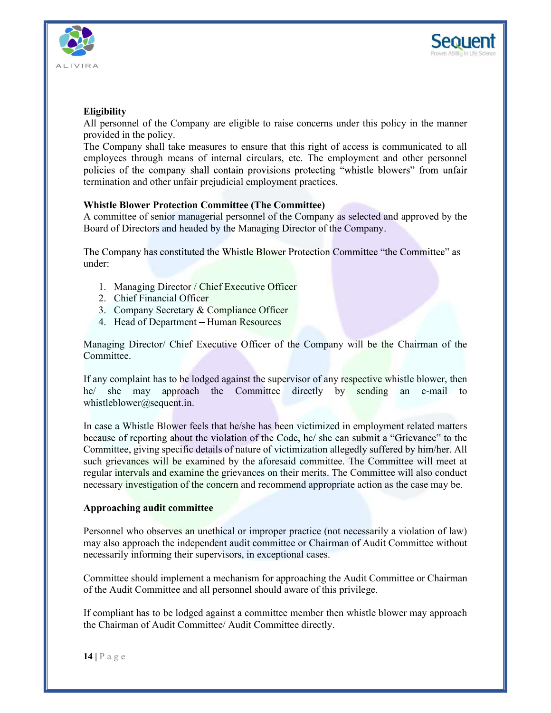



# Eligibility

All personnel of the Company are eligible to raise concerns under this policy in the manner provided in the policy.

The Company shall take measures to ensure that this right of access is communicated to all employees through means of internal circulars, etc. The employment and other personnel termination and other unfair prejudicial employment practices. **Example 1.1**<br>
1. Managing Director (Company are eligible to raise concerns under this policy<br>
1. Company shall take measures to ensure that this right of access is comm<br>
2. Company shall take measures to ensure that this **Example 18.1**<br>
2. Company and the policy personnel of the Company are eligible to raise concerns under this policy<br>
2. Company shall take measures to ensure that this right of access is comment<br>
2. Company shall contain p **Example 18. The Company and School School School School School School School School School School School School School School School Science Of internal circulars, etc. The employment and of orientary correction Committee Example 10**<br> **Example 10**<br> **Example 10**<br> **Example 10**<br> **Example 10**<br> **Example 10**<br> **Example 10**<br> **Example 10**<br> **Example 10**<br> **Example 10**<br> **Example 10**<br> **Example 10**<br> **Example 10**<br> **Example 10**<br> **Example 10**<br> **Example 10** 

# Whistle Blower Protection Committee (The Committee)

A committee of senior managerial personnel of the Company as selected and approved by the Board of Directors and headed by the Managing Director of the Company.

under:

- 
- 
- 
- 

Managing Director/ Chief Executive Officer of the Company will be the Chairman of the Committee.

If any complaint has to be lodged against the supervisor of any respective whistle blower, then he/ she may approach the Committee directly by sending an e-mail to whistleblower@sequent.in.

In case a Whistle Blower feels that he/she has been victimized in employment rebecause of reporting about the violation of the Code, he/s she can submit a "Griek committee, giving specific details of nature of victimizati In case a Whistle Blower feels that he/she has been victimized in employment related matters Committee, giving specific details of nature of victimization allegedly suffered by him/her. All such grievances will be examined by the aforesaid committee. The Committee will meet at regular intervals and examine the grievances on their merits. The Committee will also conduct necessary investigation of the concern and recommend appropriate action as the case may be. 2. Chef rinancial Officer<br>
3. Company Scerctary & Compliance Officer<br>
4. Head of Department – Human Resources<br>
Managing Director/ Chief Executive Officer of the Company will be the Chairman of the<br>
Edminitte.<br>
If any compl

#### Approaching audit committee

may also approach the independent audit committee or Chairman of Audit Committee without necessarily informing their supervisors, in exceptional cases.

Committee should implement a mechanism for approaching the Audit Committee or Chairman of the Audit Committee and all personnel should aware of this privilege.

If compliant has to be lodged against a committee member then whistle blower may approach the Chairman of Audit Committee/ Audit Committee directly.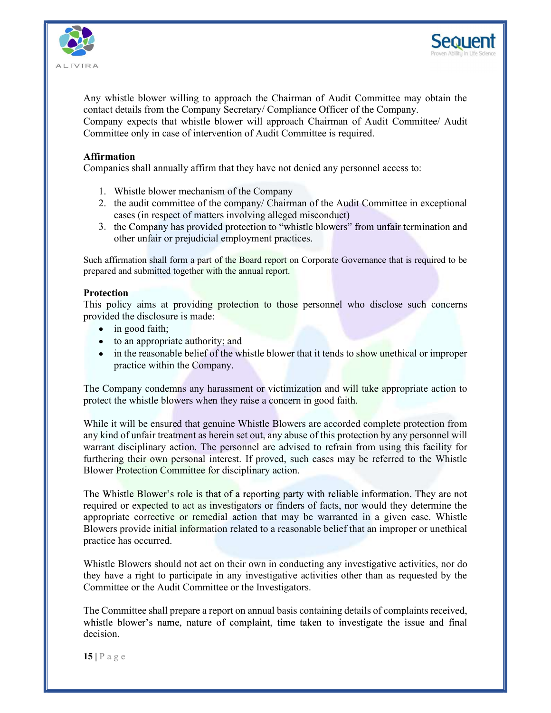



Any whistle blower willing to approach the Chairman of Audit Committee may obtain the contact details from the Company Secretary/ Compliance Officer of the Company. Company expects that whistle blower will approach Chairman of Audit Committee/ Audit Committee only in case of intervention of Audit Committee is required. The Valistle blower willing to approach the Chairman of Audit Committee may obtact details from the Company Secretary/ Compliance Officer of the Company.<br>
Impany expects that whistle blower will approach Chairman of Audit **2.** Whistle blower willing to approach the Chairman of Audit Committee may obtain the state details from the Company Secretary/ Compliance Officer of the Company.<br>Impany expects that whistle blower will approach Chairman

## Affirmation

Companies shall annually affirm that they have not denied any personnel access to:

- 
- cases (in respect of matters involving alleged misconduct)
- 3. the Company has provided protection to "whistle blowers" from unfair termination and other unfair or prejudicial employment practices.

Such affirmation shall form a part of the Board report on Corporate Governance that is required to be prepared and submitted together with the annual report.

#### **Protection**

This policy aims at providing protection to those personnel who disclose such concerns provided the disclosure is made:

- in good faith;
- to an appropriate authority; and
- in the reasonable belief of the whistle blower that it tends to show unethical or improper practice within the Company.

The Company condemns any harassment or victimization and will take appropriate action to protect the whistle blowers when they raise a concern in good faith.

While it will be ensured that genuine Whistle Blowers are accorded complete protection from any kind of unfair treatment as herein set out, any abuse of this protection by any personnel will warrant disciplinary action. The personnel are advised to refrain from using this facility for furthering their own personal interest. If proved, such cases may be referred to the Whistle Blower Protection Committee for disciplinary action. ■ to an appropriate authority; and<br>
■ intereasonable belief of the whistle blower that it tends to show unethical or improper<br>
presence within the Company.<br>
The Company condemns any harassment or victimization and will ta

While it will be ensured that genuine Whistle Blowers are accorded complete precisionally want in that is the struct that genuine whistle Blower Sura particular disciplinary action. The personnel are advised to refrain fr required or expected to act as investigators or finders of facts, nor would they determine the appropriate corrective or remedial action that may be warranted in a given case. Whistle Blowers provide initial information related to a reasonable belief that an improper or unethical practice has occurred.

they have a right to participate in any investigative activities other than as requested by the Committee or the Audit Committee or the Investigators.

The Committee shall prepare a report on annual basis containing details of complaints received, decision.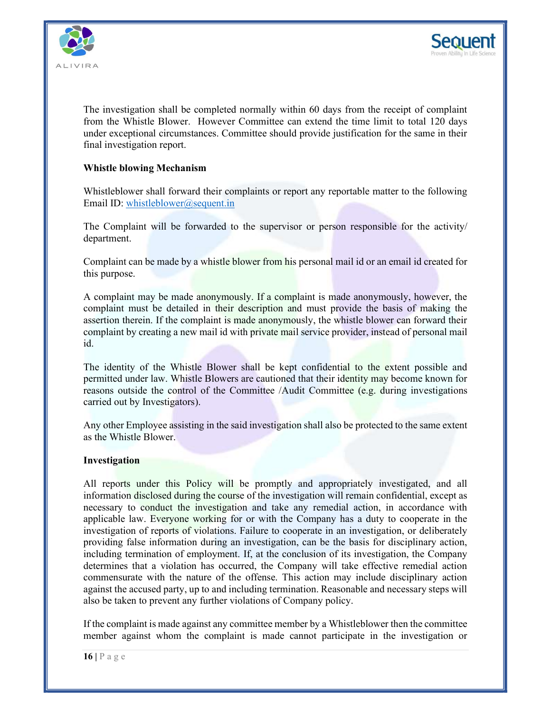



The investigation shall be completed normally within 60 days from the receipt of complaint from the Whistle Blower. However Committee can extend the time limit to total 120 days under exceptional circumstances. Committee should provide justification for the same in their final investigation report.

### Whistle blowing Mechanism

Whistleblower shall forward their complaints or report any reportable matter to the following Email ID: whistleblower@sequent.in

The Complaint will be forwarded to the supervisor or person responsible for the activity/ department.

Complaint can be made by a whistle blower from his personal mail id or an email id created for this purpose.

A complaint may be made anonymously. If a complaint is made anonymously, however, the complaint must be detailed in their description and must provide the basis of making the assertion therein. If the complaint is made anonymously, the whistle blower can forward their complaint by creating a new mail id with private mail service provider, instead of personal mail id. ment exceptions are<br>transformation and the Committee should provide gustrication for the same in their<br>time in the Blowing Mechanism<br>Whistleblower shall forward their complaints or report any reportable matter to the follo

permitted under law. Whistle Blowers are cautioned that their identity may become known for reasons outside the control of the Committee /Audit Committee (e.g. during investigations carried out by Investigators).

Any other Employee assisting in the said investigation shall also be protected to the same extent as the Whistle Blower.

#### Investigation

Any other Employee assisting in the said investigation shall also be protected to the<br>as the Whistle Blower.<br>Investigation<br>Il reports under this Policy will be promptly and appropriately investigate<br>information disclosed All reports under this Policy will be promptly and appropriately investigated, and all information disclosed during the course of the investigation will remain confidential, except as necessary to conduct the investigation and take any remedial action, in accordance with applicable law. Everyone working for or with the Company has a duty to cooperate in the investigation of reports of violations. Failure to cooperate in an investigation, or deliberately providing false information during an investigation, can be the basis for disciplinary action, including termination of employment. If, at the conclusion of its investigation, the Company determines that a violation has occurred, the Company will take effective remedial action commensurate with the nature of the offense. This action may include disciplinary action against the accused party, up to and including termination. Reasonable and necessary steps will also be taken to prevent any further violations of Company policy. It is made the complete the committee experiment of the same extent<br>carried out by lnvestigators).<br>Any other Employee assisting in the said investigation shall also be protected to the same extent<br>as the Whistle Blower.<br>I

member against whom the complaint is made cannot participate in the investigation or